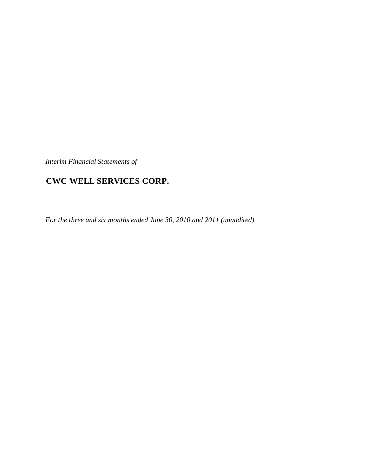*Interim Financial Statements of*

# **CWC WELL SERVICES CORP.**

*For the three and six months ended June 30, 2010 and 2011 (unaudited)*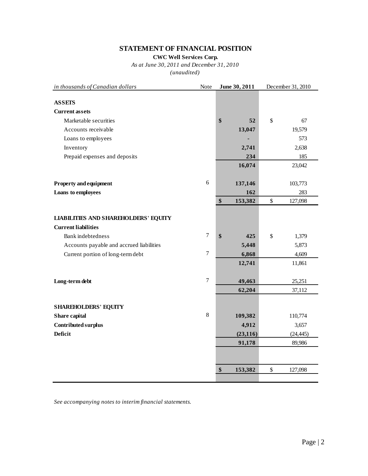# **STATEMENT OF FINANCIAL POSITION**

**CWC Well Services Corp.**

*As at June 30, 2011 and December 31, 2010 (unaudited)*

| in thousands of Canadian dollars            | Note           | June 30, 2011 | December 31, 2010 |           |  |  |
|---------------------------------------------|----------------|---------------|-------------------|-----------|--|--|
|                                             |                |               |                   |           |  |  |
| <b>ASSETS</b>                               |                |               |                   |           |  |  |
| <b>Current assets</b>                       |                |               |                   |           |  |  |
| Marketable securities                       |                | \$<br>52      | \$                | 67        |  |  |
| Accounts receivable                         |                | 13,047        |                   | 19,579    |  |  |
| Loans to employees                          |                |               |                   | 573       |  |  |
| Inventory                                   |                | 2,741         |                   | 2,638     |  |  |
| Prepaid expenses and deposits               |                | 234           |                   | 185       |  |  |
|                                             |                | 16,074        |                   | 23,042    |  |  |
| <b>Property and equipment</b>               | $6\,$          | 137,146       |                   | 103,773   |  |  |
| Loans to employees                          |                | 162           |                   | 283       |  |  |
|                                             |                | \$<br>153,382 | \$                | 127,098   |  |  |
|                                             |                |               |                   |           |  |  |
| <b>LIABILITIES AND SHAREHOLDERS' EQUITY</b> |                |               |                   |           |  |  |
| <b>Current liabilities</b>                  |                |               |                   |           |  |  |
| <b>Bank</b> indebtedness                    | $\overline{7}$ | \$<br>425     | \$                | 1,379     |  |  |
| Accounts payable and accrued liabilities    |                | 5,448         |                   | 5,873     |  |  |
| Current portion of long-term debt           | $\tau$         | 6,868         |                   | 4,609     |  |  |
|                                             |                | 12,741        |                   | 11,861    |  |  |
| Long-term debt                              | $\overline{7}$ | 49,463        |                   | 25,251    |  |  |
|                                             |                | 62,204        |                   | 37,112    |  |  |
|                                             |                |               |                   |           |  |  |
| <b>SHAREHOLDERS' EQUITY</b>                 |                |               |                   |           |  |  |
| Share capital                               | 8              | 109,382       |                   | 110,774   |  |  |
| Contributed surplus                         |                | 4,912         |                   | 3,657     |  |  |
| <b>Deficit</b>                              |                | (23, 116)     |                   | (24, 445) |  |  |
|                                             |                | 91,178        |                   | 89,986    |  |  |
|                                             |                |               |                   |           |  |  |
|                                             |                | \$<br>153,382 | \$                | 127,098   |  |  |
|                                             |                |               |                   |           |  |  |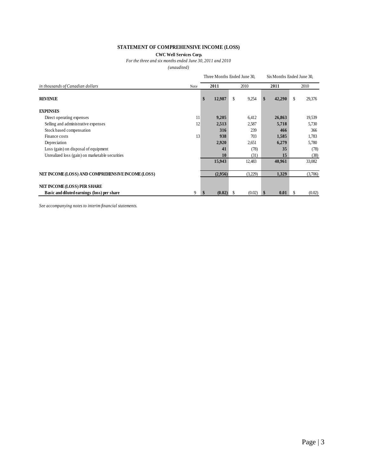# **STATEMENT OF COMPREHENSIVE INCOME (LOSS)**

## **CWC Well Services Corp.**

*For the three and six months ended June 30, 2011 and 2010*

*(unaudited)*

|                                                   |      |              | Three Months Ended June 30. | Six Months Ended June 30. |              |  |  |
|---------------------------------------------------|------|--------------|-----------------------------|---------------------------|--------------|--|--|
| in thousands of Canadian dollars                  | Note | 2011         | 2010                        | 2011                      | 2010         |  |  |
| <b>REVENUE</b>                                    |      | \$<br>12,987 | S.<br>9,254                 | \$<br>42,290              | \$<br>29,376 |  |  |
| <b>EXPENSES</b>                                   |      |              |                             |                           |              |  |  |
| Direct operating expenses                         | 11   | 9,205        | 6,412                       | 26,863                    | 19,539       |  |  |
| Selling and administrative expenses               | 12   | 2,513        | 2,587                       | 5,718                     | 5,730        |  |  |
| Stock based compensation                          |      | 316          | 239                         | 466                       | 366          |  |  |
| Finance costs                                     | 13   | 938          | 703                         | 1,585                     | 1,783        |  |  |
| Depreciation                                      |      | 2,920        | 2,651                       | 6,279                     | 5,780        |  |  |
| Loss (gain) on disposal of equipment              |      | 41           | (78)                        | 35                        | (78)         |  |  |
| Unrealized loss (gain) on marketable securities   |      | 10           | (31)                        | 15                        | (38)         |  |  |
|                                                   |      | 15,943       | 12,483                      | 40,961                    | 33,082       |  |  |
| NET INCOME (LOSS) AND COMPREHENSIVE INCOME (LOSS) |      | (2,956)      | (3,229)                     | 1,329                     | (3,706)      |  |  |
| NET INCOME (LOSS) PER SHARE                       |      |              |                             |                           |              |  |  |
| Basic and diluted earnings (loss) per share       | 9    | (0.02)       | (0.02)<br>S                 | \$<br>0.01                | (0.02)<br>S. |  |  |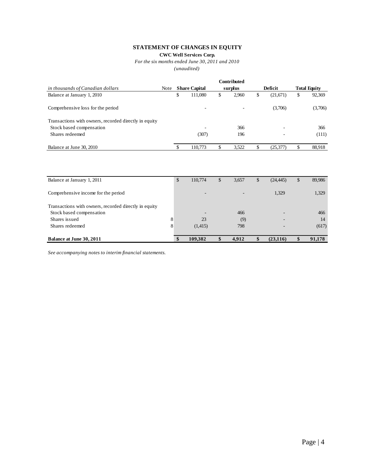# **STATEMENT OF CHANGES IN EQUITY**

**CWC Well Services Corp.**

*For the six months ended June 30, 2011 and 2010*

*(unaudited)*

|                                                       |      |                      |     | <b>Contributed</b> |                 |                     |
|-------------------------------------------------------|------|----------------------|-----|--------------------|-----------------|---------------------|
| in thousands of Canadian dollars                      | Note | <b>Share Capital</b> |     | surplus            | Deficit         | <b>Total Equity</b> |
| Balance at January 1, 2010                            |      | \$<br>111,080        | \$  | 2.960              | \$<br>(21,671)  | \$<br>92,369        |
| Comprehensive loss for the period                     |      | ۰                    |     | -                  | (3,706)         | (3,706)             |
| Transactions with owners, recorded directly in equity |      |                      |     |                    |                 |                     |
| Stock based compensation                              |      | ۰                    |     | 366                |                 | 366                 |
| Shares redeemed                                       |      | (307)                |     | 196                |                 | (111)               |
| Balance at June 30, 2010                              |      | 110,773              | ۰D. | 3.522              | \$<br>(25, 377) | 88,918              |

| Balance at January 1, 2011                            | \$ | 110,774                  | \$<br>3,657              | \$<br>(24, 445) | S | 89,986 |
|-------------------------------------------------------|----|--------------------------|--------------------------|-----------------|---|--------|
| Comprehensive income for the period                   |    | $\overline{\phantom{a}}$ | $\overline{\phantom{0}}$ | 1,329           |   | 1,329  |
| Transactions with owners, recorded directly in equity |    |                          |                          |                 |   |        |
| Stock based compensation                              |    |                          | 466                      |                 |   | 466    |
| Shares issued                                         | 8  | 23                       | (9)                      |                 |   | 14     |
| Shares redeemed                                       | 8  | (1,415)                  | 798                      |                 |   | (617)  |
| Balance at June 30, 2011                              | \$ | 109,382                  | 4,912                    | (23, 116)       |   | 91,178 |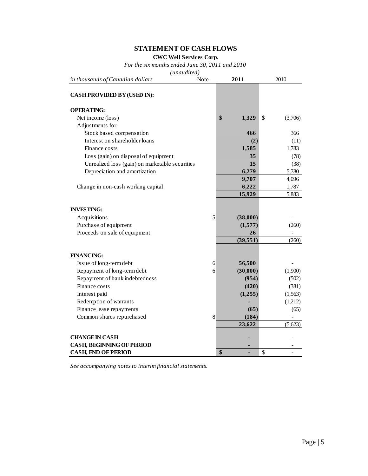# **STATEMENT OF CASH FLOWS**

**CWC Well Services Corp.**

*For the six months ended June 30, 2011 and 2010*

*(unaudited)*

| in thousands of Canadian dollars                | Note | 2011        | 2010 |          |  |
|-------------------------------------------------|------|-------------|------|----------|--|
| CASH PROVIDED BY (USED IN):                     |      |             |      |          |  |
| <b>OPERATING:</b>                               |      |             |      |          |  |
| Net income (loss)                               |      | \$<br>1,329 | \$   | (3,706)  |  |
| Adjustments for:                                |      |             |      |          |  |
| Stock based compensation                        |      | 466         |      | 366      |  |
| Interest on shareholder loans                   |      | (2)         |      | (11)     |  |
| Finance costs                                   |      | 1,585       |      | 1,783    |  |
| Loss (gain) on disposal of equipment            |      | 35          |      | (78)     |  |
| Unrealized loss (gain) on marketable securities |      | 15          |      | (38)     |  |
| Depreciation and amortization                   |      | 6,279       |      | 5,780    |  |
|                                                 |      | 9,707       |      | 4,096    |  |
| Change in non-cash working capital              |      | 6,222       |      | 1,787    |  |
|                                                 |      | 15,929      |      | 5,883    |  |
| <b>INVESTING:</b>                               |      |             |      |          |  |
| Acquisitions                                    | 5    | (38,000)    |      |          |  |
| Purchase of equipment                           |      | (1,577)     |      | (260)    |  |
| Proceeds on sale of equipment                   |      | 26          |      |          |  |
|                                                 |      | (39, 551)   |      | (260)    |  |
| <b>FINANCING:</b>                               |      |             |      |          |  |
| Issue of long-term debt                         | 6    | 56,500      |      |          |  |
| Repayment of long-term debt                     | 6    | (30,000)    |      | (1,900)  |  |
| Repayment of bank indebtedness                  |      | (954)       |      | (502)    |  |
| Finance costs                                   |      | (420)       |      | (381)    |  |
| Interest paid                                   |      | (1,255)     |      | (1, 563) |  |
| Redemption of warrants                          |      |             |      | (1,212)  |  |
| Finance lease repayments                        |      | (65)        |      | (65)     |  |
| Common shares repurchased                       | 8    | (184)       |      |          |  |
|                                                 |      | 23,622      |      | (5,623)  |  |
| <b>CHANGE IN CASH</b>                           |      |             |      |          |  |
| <b>CASH, BEGINNING OF PERIOD</b>                |      |             |      |          |  |
| <b>CASH, END OF PERIOD</b>                      |      | \$          | \$   |          |  |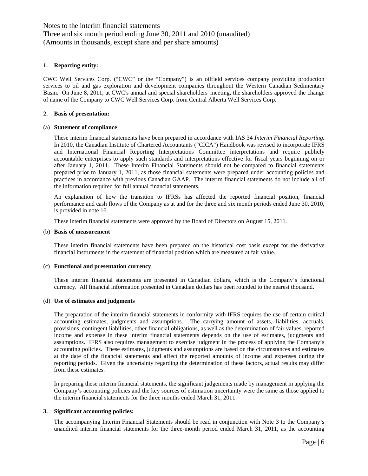Notes to the interim financial statements Three and six month period ending June 30, 2011 and 2010 (unaudited) (Amounts in thousands, except share and per share amounts)

#### **1. Reporting entity:**

CWC Well Services Corp. ("CWC" or the "Company") is an oilfield services company providing production services to oil and gas exploration and development companies throughout the Western Canadian Sedimentary Basin. On June 8, 2011, at CWC's annual and special shareholders' meeting, the shareholders approved the change of name of the Company to CWC Well Services Corp. from Central Alberta Well Services Corp.

#### **2. Basis of presentation:**

#### (a) **Statement of compliance**

These interim financial statements have been prepared in accordance with IAS 34 *Interim Financial Reporting.*  In 2010, the Canadian Institute of Chartered Accountants ("CICA") Handbook was revised to incorporate IFRS and International Financial Reporting Interpretations Committee interpretations and require publicly accountable enterprises to apply such standards and interpretations effective for fiscal years beginning on or after January 1, 2011. These Interim Financial Statements should not be compared to financial statements prepared prior to January 1, 2011, as those financial statements were prepared under accounting policies and practices in accordance with previous Canadian GAAP. The interim financial statements do not include all of the information required for full annual financial statements.

An explanation of how the transition to IFRSs has affected the reported financial position, financial performance and cash flows of the Company as at and for the three and six month periods ended June 30, 2010, is provided in note 16.

These interim financial statements were approved by the Board of Directors on August 15, 2011.

#### (b) **Basis of measurement**

These interim financial statements have been prepared on the historical cost basis except for the derivative financial instruments in the statement of financial position which are measured at fair value.

#### (c) **Functional and presentation currency**

These interim financial statements are presented in Canadian dollars, which is the Company's functional currency. All financial information presented in Canadian dollars has been rounded to the nearest thousand.

#### (d) **Use of estimates and judgments**

The preparation of the interim financial statements in conformity with IFRS requires the use of certain critical accounting estimates, judgments and assumptions. The carrying amount of assets, liabilities, accruals, provisions, contingent liabilities, other financial obligations, as well as the determination of fair values, reported income and expense in these interim financial statements depends on the use of estimates, judgments and assumptions. IFRS also requires management to exercise judgment in the process of applying the Company's accounting policies. These estimates, judgments and assumptions are based on the circumstances and estimates at the date of the financial statements and affect the reported amounts of income and expenses during the reporting periods. Given the uncertainty regarding the determination of these factors, actual results may differ from these estimates.

In preparing these interim financial statements, the significant judgements made by management in applying the Company's accounting policies and the key sources of estimation uncertainty were the same as those applied to the interim financial statements for the three months ended March 31, 2011.

#### **3. Significant accounting policies:**

The accompanying Interim Financial Statements should be read in conjunction with Note 3 to the Company's unaudited interim financial statements for the three-month period ended March 31, 2011, as the accounting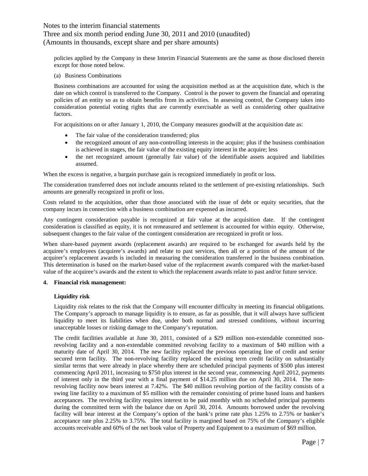## Three and six month period ending June 30, 2011 and 2010 (unaudited) (Amounts in thousands, except share and per share amounts)

policies applied by the Company in these Interim Financial Statements are the same as those disclosed therein except for those noted below.

(a) Business Combinations

Business combinations are accounted for using the acquisition method as at the acquisition date, which is the date on which control is transferred to the Company. Control is the power to govern the financial and operating policies of an entity so as to obtain benefits from its activities. In assessing control, the Company takes into consideration potential voting rights that are currently exercisable as well as considering other qualitative factors.

For acquisitions on or after January 1, 2010, the Company measures goodwill at the acquisition date as:

- The fair value of the consideration transferred; plus
- the recognized amount of any non-controlling interests in the acquire; plus if the business combination is achieved in stages, the fair value of the existing equity interest in the acquire; less
- the net recognized amount (generally fair value) of the identifiable assets acquired and liabilities assumed.

When the excess is negative, a bargain purchase gain is recognized immediately in profit or loss.

The consideration transferred does not include amounts related to the settlement of pre-existing relationships. Such amounts are generally recognized in profit or loss.

Costs related to the acquisition, other than those associated with the issue of debt or equity securities, that the company incurs in connection with a business combination are expensed as incurred.

Any contingent consideration payable is recognized at fair value at the acquisition date. If the contingent consideration is classified as equity, it is not remeasured and settlement is accounted for within equity. Otherwise, subsequent changes to the fair value of the contingent consideration are recognized in profit or loss.

When share-based payment awards (replacement awards) are required to be exchanged for awards held by the acquiree's employees (acquiree's awards) and relate to past services, then all or a portion of the amount of the acquirer's replacement awards is included in measuring the consideration transferred in the business combination. This determination is based on the market-based value of the replacement awards compared with the market-based value of the acquiree's awards and the extent to which the replacement awards relate to past and/or future service.

## **4. Financial risk management:**

## **Liquidity risk**

Liquidity risk relates to the risk that the Company will encounter difficulty in meeting its financial obligations. The Company's approach to manage liquidity is to ensure, as far as possible, that it will always have sufficient liquidity to meet its liabilities when due, under both normal and stressed conditions, without incurring unacceptable losses or risking damage to the Company's reputation.

The credit facilities available at June 30, 2011, consisted of a \$29 million non-extendable committed nonrevolving facility and a non-extendable committed revolving facility to a maximum of \$40 million with a maturity date of April 30, 2014. The new facility replaced the previous operating line of credit and senior secured term facility. The non-revolving facility replaced the existing term credit facility on substantially similar terms that were already in place whereby there are scheduled principal payments of \$500 plus interest commencing April 2011, increasing to \$750 plus interest in the second year, commencing April 2012, payments of interest only in the third year with a final payment of \$14.25 million due on April 30, 2014. The nonrevolving facility now bears interest at 7.42%. The \$40 million revolving portion of the facility consists of a swing line facility to a maximum of \$5 million with the remainder consisting of prime based loans and bankers acceptances. The revolving facility requires interest to be paid monthly with no scheduled principal payments during the committed term with the balance due on April 30, 2014. Amounts borrowed under the revolving facility will bear interest at the Company's option of the bank's prime rate plus 1.25% to 2.75% or banker's acceptance rate plus 2.25% to 3.75%. The total facility is margined based on 75% of the Company's eligible accounts receivable and 60% of the net book value of Property and Equipment to a maximum of \$69 million.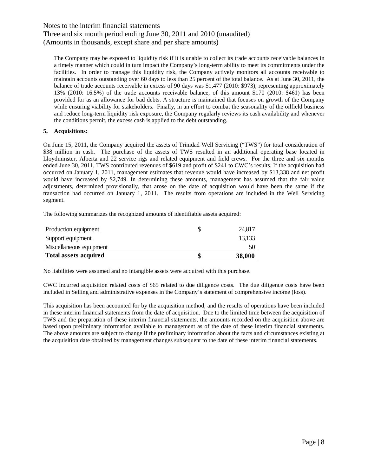Three and six month period ending June 30, 2011 and 2010 (unaudited) (Amounts in thousands, except share and per share amounts)

The Company may be exposed to liquidity risk if it is unable to collect its trade accounts receivable balances in a timely manner which could in turn impact the Company's long-term ability to meet its commitments under the facilities. In order to manage this liquidity risk, the Company actively monitors all accounts receivable to maintain accounts outstanding over 60 days to less than 25 percent of the total balance. As at June 30, 2011, the balance of trade accounts receivable in excess of 90 days was \$1,477 (2010: \$973), representing approximately 13% (2010: 16.5%) of the trade accounts receivable balance, of this amount \$170 (2010: \$461) has been provided for as an allowance for bad debts. A structure is maintained that focuses on growth of the Company while ensuring viability for stakeholders. Finally, in an effort to combat the seasonality of the oilfield business and reduce long-term liquidity risk exposure, the Company regularly reviews its cash availability and whenever the conditions permit, the excess cash is applied to the debt outstanding.

#### **5. Acquisitions:**

On June 15, 2011, the Company acquired the assets of Trinidad Well Servicing ("TWS") for total consideration of \$38 million in cash. The purchase of the assets of TWS resulted in an additional operating base located in Lloydminster, Alberta and 22 service rigs and related equipment and field crews. For the three and six months ended June 30, 2011, TWS contributed revenues of \$619 and profit of \$241 to CWC's results. If the acquisition had occurred on January 1, 2011, management estimates that revenue would have increased by \$13,338 and net profit would have increased by \$2,749. In determining these amounts, management has assumed that the fair value adjustments, determined provisionally, that arose on the date of acquisition would have been the same if the transaction had occurred on January 1, 2011. The results from operations are included in the Well Servicing segment.

The following summarizes the recognized amounts of identifiable assets acquired:

| Production equipment    | 24.817 |
|-------------------------|--------|
| Support equipment       | 13,133 |
| Miscellaneous equipment | 50     |
| Total assets acquired   | 38,000 |

No liabilities were assumed and no intangible assets were acquired with this purchase.

CWC incurred acquisition related costs of \$65 related to due diligence costs. The due diligence costs have been included in Selling and administrative expenses in the Company's statement of comprehensive income (loss).

This acquisition has been accounted for by the acquisition method, and the results of operations have been included in these interim financial statements from the date of acquisition. Due to the limited time between the acquisition of TWS and the preparation of these interim financial statements, the amounts recorded on the acquisition above are based upon preliminary information available to management as of the date of these interim financial statements. The above amounts are subject to change if the preliminary information about the facts and circumstances existing at the acquisition date obtained by management changes subsequent to the date of these interim financial statements.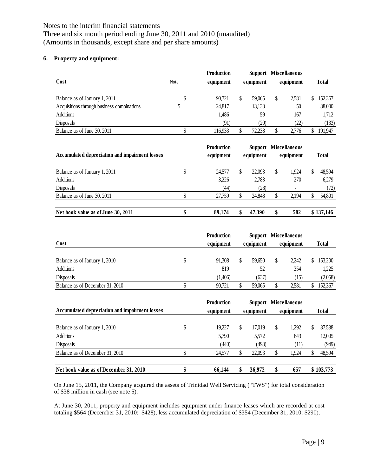Three and six month period ending June 30, 2011 and 2010 (unaudited) (Amounts in thousands, except share and per share amounts)

## **6. Property and equipment:**

|                                            |             | <b>Production</b> |           |        | Support Miscellaneous |       |           |         |              |  |
|--------------------------------------------|-------------|-------------------|-----------|--------|-----------------------|-------|-----------|---------|--------------|--|
| Cost                                       | <b>Note</b> | equipment         | equipment |        |                       |       | equipment |         | <b>Total</b> |  |
|                                            |             |                   |           |        |                       |       |           |         |              |  |
| Balance as of January 1, 2011              | S           | 90.721            |           | 59,065 |                       | 2.581 |           | 152,367 |              |  |
| Acquisitions through business combinations |             | 24,817            |           | 13,133 |                       | 50    |           | 38,000  |              |  |
| <b>Additions</b>                           |             | 1,486             |           | 59     |                       | 167   |           | 1,712   |              |  |
| Disposals                                  |             | (91)              |           | (20)   |                       | (22)  |           | (133)   |              |  |
| Balance as of June 30, 2011                |             | 116.933           |           | 72.238 |                       | 2.776 |           | 191.947 |              |  |

| Accumulated depreciation and impairment losses |   | <b>Production</b><br>equipment | <b>Support Miscellaneous</b><br>equipment |   | equipment |   | <b>Total</b> |
|------------------------------------------------|---|--------------------------------|-------------------------------------------|---|-----------|---|--------------|
| Balance as of January 1, 2011                  | S | 24.577                         | 22,093                                    | S | 1.924     | S | 48,594       |
| <b>Additions</b>                               |   | 3,226                          | 2,783                                     |   | 270       |   | 6,279        |
| Disposals                                      |   | (44)                           | (28)                                      |   |           |   | (72)         |
| Balance as of June 30, 2011                    |   | 27.759                         | 24.848                                    |   | 2.194     |   | 54,801       |
| Net book value as of June 30, 2011             |   | 89,174                         | 47.390                                    |   | 582       |   | \$137,146    |

| Cost                                              | <b>Production</b><br>equipment |   | Support Miscellaneous<br>equipment | equipment     | <b>Total</b>       |
|---------------------------------------------------|--------------------------------|---|------------------------------------|---------------|--------------------|
| Balance as of January 1, 2010<br><b>Additions</b> | 91.308<br>819                  | S | 59.650<br>52                       | 2.242<br>354  | 153,200<br>1,225   |
| Disposals<br>Balance as of December 31, 2010      | (1,406)<br>90.721              |   | (637)<br>59,065                    | (15)<br>2,581 | (2,058)<br>152,367 |

| Accumulated depreciation and impairment losses | <b>Production</b><br>equipment | Support<br>equipment | <b>Miscellaneous</b><br>equipment |   | <b>Total</b> |
|------------------------------------------------|--------------------------------|----------------------|-----------------------------------|---|--------------|
| Balance as of January 1, 2010                  | \$<br>19.227                   | 17.019               | \$<br>1.292                       | S | 37,538       |
| <b>Additions</b>                               | 5.790                          | 5,572                | 643                               |   | 12,005       |
| Disposals                                      | (440)                          | (498)                | (11)                              |   | (949)        |
| Balance as of December 31, 2010                | 24.577                         | 22,093               | 1.924                             | S | 48,594       |
| Net book value as of December 31, 2010         | 66,144                         | 36,972               | 657                               |   | \$103,773    |

On June 15, 2011, the Company acquired the assets of Trinidad Well Servicing ("TWS") for total consideration of \$38 million in cash (see note 5).

At June 30, 2011, property and equipment includes equipment under finance leases which are recorded at cost totaling \$564 (December 31, 2010: \$428), less accumulated depreciation of \$354 (December 31, 2010: \$290).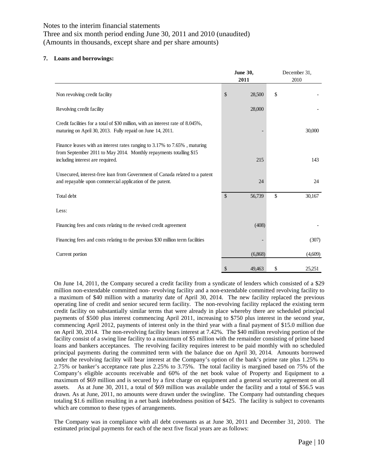Three and six month period ending June 30, 2011 and 2010 (unaudited) (Amounts in thousands, except share and per share amounts)

### **7. Loans and borrowings:**

|                                                                                                                                                                                     | <b>June 30,</b><br>2011 | December 31,<br>2010 |
|-------------------------------------------------------------------------------------------------------------------------------------------------------------------------------------|-------------------------|----------------------|
| Non revolving credit facility                                                                                                                                                       | \$<br>28,500            | \$                   |
| Revolving credit facility                                                                                                                                                           | 28,000                  |                      |
| Credit facilities for a total of \$30 million, with an interest rate of 8.045%,<br>maturing on April 30, 2013. Fully repaid on June 14, 2011.                                       |                         | 30,000               |
| Finance leases with an interest rates ranging to 3.17% to 7.65%, maturing<br>from September 2011 to May 2014. Monthly repayments totalling \$15<br>including interest are required. | 215                     | 143                  |
| Unsecured, interest-free loan from Government of Canada related to a patent<br>and repayable upon commercial application of the patent.                                             | 24                      | 24                   |
| Total debt                                                                                                                                                                          | \$<br>56,739            | \$<br>30,167         |
| Less:                                                                                                                                                                               |                         |                      |
| Financing fees and costs relating to the revised credit agreement                                                                                                                   | (408)                   |                      |
| Financing fees and costs relating to the previous \$30 million term facilities                                                                                                      |                         | (307)                |
| Current portion                                                                                                                                                                     | (6,868)                 | (4,609)              |
|                                                                                                                                                                                     | \$<br>49,463            | \$<br>25,251         |

On June 14, 2011, the Company secured a credit facility from a syndicate of lenders which consisted of a \$29 million non-extendable committed non- revolving facility and a non-extendable committed revolving facility to a maximum of \$40 million with a maturity date of April 30, 2014. The new facility replaced the previous operating line of credit and senior secured term facility. The non-revolving facility replaced the existing term credit facility on substantially similar terms that were already in place whereby there are scheduled principal payments of \$500 plus interest commencing April 2011, increasing to \$750 plus interest in the second year, commencing April 2012, payments of interest only in the third year with a final payment of \$15.0 million due on April 30, 2014. The non-revolving facility bears interest at 7.42%. The \$40 million revolving portion of the facility consist of a swing line facility to a maximum of \$5 million with the remainder consisting of prime based loans and bankers acceptances. The revolving facility requires interest to be paid monthly with no scheduled principal payments during the committed term with the balance due on April 30, 2014. Amounts borrowed under the revolving facility will bear interest at the Company's option of the bank's prime rate plus 1.25% to 2.75% or banker's acceptance rate plus 2.25% to 3.75%. The total facility is margined based on 75% of the Company's eligible accounts receivable and 60% of the net book value of Property and Equipment to a maximum of \$69 million and is secured by a first charge on equipment and a general security agreement on all assets. As at June 30, 2011, a total of \$69 million was available under the facility and a total of \$56.5 was drawn. As at June, 2011, no amounts were drawn under the swingline. The Company had outstanding cheques totaling \$1.6 million resulting in a net bank indebtedness position of \$425. The facility is subject to covenants which are common to these types of arrangements.

The Company was in compliance with all debt covenants as at June 30, 2011 and December 31, 2010. The estimated principal payments for each of the next five fiscal years are as follows: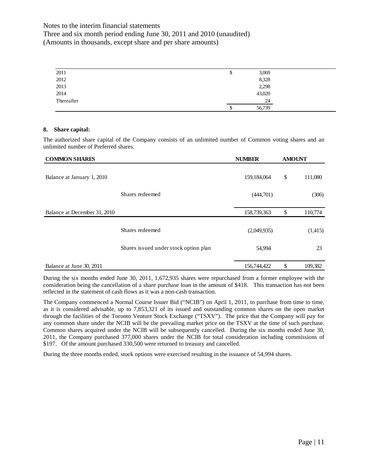Three and six month period ending June 30, 2011 and 2010 (unaudited) (Amounts in thousands, except share and per share amounts)

| 2011       | D | 3,069  |
|------------|---|--------|
| 2012       |   | 8,328  |
| 2013       |   | 2,298  |
| 2014       |   | 43,020 |
| Thereafter |   | 24     |
|            | ◡ | 56,739 |

#### **8. Share capital:**

The authorized share capital of the Company consists of an unlimited number of Common voting shares and an unlimited number of Preferred shares.

| <b>COMMON SHARES</b>         |                                       | <b>NUMBER</b> | <b>AMOUNT</b> |         |
|------------------------------|---------------------------------------|---------------|---------------|---------|
| Balance at January 1, 2010   |                                       | 159, 184, 064 | \$            | 111,080 |
|                              | Shares redeemed                       | (444,701)     |               | (306)   |
| Balance at December 31, 2010 |                                       | 158,739,363   | \$            | 110,774 |
|                              | Shares redeemed                       | (2,049,935)   |               | (1,415) |
|                              | Shares issued under stock option plan | 54,994        |               | 23      |
| Balance at June 30, 2011     |                                       | 156,744,422   | \$            | 109,382 |

During the six months ended June 30, 2011, 1,672,935 shares were repurchased from a former employee with the consideration being the cancellation of a share purchase loan in the amount of \$418. This transaction has not been reflected in the statement of cash flows as it was a non-cash transaction.

The Company commenced a Normal Course Issuer Bid ("NCIB") on April 1, 2011, to purchase from time to time, as it is considered advisable, up to 7,853,321 of its issued and outstanding common shares on the open market through the facilities of the Toronto Venture Stock Exchange ("TSXV"). The price that the Company will pay for any common share under the NCIB will be the prevailing market price on the TSXV at the time of such purchase. Common shares acquired under the NCIB will be subsequently cancelled. During the six months ended June 30, 2011, the Company purchased 377,000 shares under the NCIB for total consideration including commissions of \$197. Of the amount purchased 330,500 were returned to treasury and cancelled.

During the three months ended, stock options were exercised resulting in the issuance of 54,994 shares.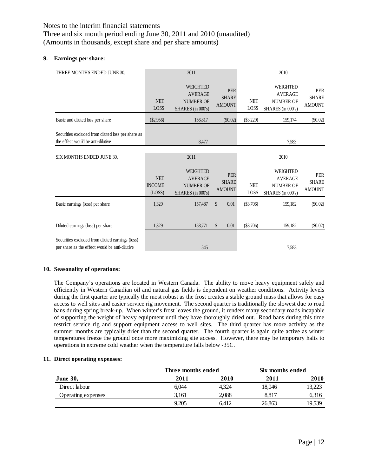Three and six month period ending June 30, 2011 and 2010 (unaudited) (Amounts in thousands, except share and per share amounts)

#### **9. Earnings per share:**

| THREE MONTHS ENDED JUNE 30,                                                             |                                       | 2011                                                                       |                                             | 2010               |                                                                            |                                             |  |
|-----------------------------------------------------------------------------------------|---------------------------------------|----------------------------------------------------------------------------|---------------------------------------------|--------------------|----------------------------------------------------------------------------|---------------------------------------------|--|
|                                                                                         | <b>NET</b><br>LOSS                    | <b>WEIGHTED</b><br><b>AVERAGE</b><br><b>NUMBER OF</b><br>SHARES (in 000's) | <b>PER</b><br><b>SHARE</b><br><b>AMOUNT</b> | <b>NET</b><br>LOSS | <b>WEIGHTED</b><br><b>AVERAGE</b><br><b>NUMBER OF</b><br>SHARES (in 000's) | <b>PER</b><br><b>SHARE</b><br><b>AMOUNT</b> |  |
| Basic and diluted loss per share                                                        | $(\$2,956)$                           | 156,817                                                                    | (\$0.02)                                    | $(\$3,229)$        | 159,174                                                                    | $(\$0.02)$                                  |  |
| Securities excluded from diluted loss per share as<br>the effect would be anti-dilutive |                                       | 8,477                                                                      |                                             |                    | 7.583                                                                      |                                             |  |
| SIX MONTHS ENDED JUNE 30,                                                               |                                       | 2011                                                                       |                                             |                    | 2010                                                                       |                                             |  |
|                                                                                         | <b>NET</b><br><b>INCOME</b><br>(LOSS) | <b>WEIGHTED</b><br><b>AVERAGE</b><br><b>NUMBER OF</b><br>SHARES (in 000's) | <b>PER</b><br><b>SHARE</b><br><b>AMOUNT</b> | <b>NET</b><br>LOSS | <b>WEIGHTED</b><br><b>AVERAGE</b><br><b>NUMBER OF</b><br>SHARES (in 000's) | <b>PER</b><br><b>SHARE</b><br><b>AMOUNT</b> |  |
| Basic earnings (loss) per share                                                         | 1,329                                 | 157,487                                                                    | \$<br>0.01                                  | $(\$3,706)$        | 159,182                                                                    | $(\$0.02)$                                  |  |
| Diluted earnings (loss) per share<br>Securities excluded from diluted earnings (loss)   | 1,329                                 | 158,771                                                                    | $\mathcal{S}$<br>0.01                       | (\$3,706)          | 159,182                                                                    | $(\$0.02)$                                  |  |
| per share as the effect would be anti-dilutive                                          |                                       | 545                                                                        |                                             |                    | 7,583                                                                      |                                             |  |

## **10. Seasonality of operations:**

The Company's operations are located in Western Canada. The ability to move heavy equipment safely and efficiently in Western Canadian oil and natural gas fields is dependent on weather conditions. Activity levels during the first quarter are typically the most robust as the frost creates a stable ground mass that allows for easy access to well sites and easier service rig movement. The second quarter is traditionally the slowest due to road bans during spring break-up. When winter's frost leaves the ground, it renders many secondary roads incapable of supporting the weight of heavy equipment until they have thoroughly dried out. Road bans during this time restrict service rig and support equipment access to well sites. The third quarter has more activity as the summer months are typically drier than the second quarter. The fourth quarter is again quite active as winter temperatures freeze the ground once more maximizing site access. However, there may be temporary halts to operations in extreme cold weather when the temperature falls below -35C.

#### **11. Direct operating expenses:**

|                    | Three months ended |       | Six months ended |        |
|--------------------|--------------------|-------|------------------|--------|
| <b>June 30,</b>    | 2011               | 2010  | 2011             | 2010   |
| Direct labour      | 6.044              | 4.324 | 18,046           | 13,223 |
| Operating expenses | 3.161              | 2.088 | 8.817            | 6,316  |
|                    | 9.205              | 6.412 | 26,863           | 19.539 |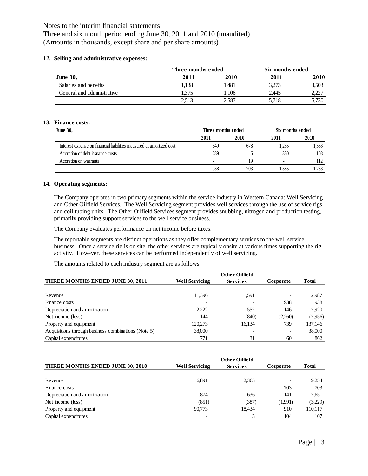Three and six month period ending June 30, 2011 and 2010 (unaudited) (Amounts in thousands, except share and per share amounts)

#### **12. Selling and administrative expenses:**

|                            | Three months ended |       | Six months ended |       |  |
|----------------------------|--------------------|-------|------------------|-------|--|
| <b>June 30,</b>            | 2011               | 2010  | 2011             | 2010  |  |
| Salaries and benefits      | 1.138              | 1.481 | 3,273            | 3,503 |  |
| General and administrative | 1.375              | 1.106 | 2.445            | 2,227 |  |
|                            | 2.513              | 2,587 | 5.718            | 5,730 |  |

#### **13. Finance costs:**

| <b>June 30,</b>                                                      | Three months ended |      | Six months ended |       |
|----------------------------------------------------------------------|--------------------|------|------------------|-------|
|                                                                      | 2011               | 2010 | 2011             | 2010  |
| Interest expense on financial liabilities measured at amortized cost | 649                | 678  | .255             | 1.563 |
| Accretion of debt issuance costs                                     | 289                |      | 330              | 108   |
| Accretion on warrants                                                |                    | 19   | -                | 112   |
|                                                                      | 938                | 703  | . 585            | 1.783 |

#### **14. Operating segments:**

The Company operates in two primary segments within the service industry in Western Canada: Well Servicing and Other Oilfield Services. The Well Servicing segment provides well services through the use of service rigs and coil tubing units. The Other Oilfield Services segment provides snubbing, nitrogen and production testing, primarily providing support services to the well service business.

The Company evaluates performance on net income before taxes.

The reportable segments are distinct operations as they offer complementary services to the well service business. Once a service rig is on site, the other services are typically onsite at various times supporting the rig activity. However, these services can be performed independently of well servicing.

The amounts related to each industry segment are as follows:

| THREE MONTHS ENDED JUNE 30, 2011                    | <b>Well Servicing</b> | <b>Services</b> | Corporate | <b>Total</b> |
|-----------------------------------------------------|-----------------------|-----------------|-----------|--------------|
|                                                     |                       |                 |           |              |
| Revenue                                             | 11.396                | 1,591           |           | 12,987       |
| Finance costs                                       |                       |                 | 938       | 938          |
| Depreciation and amortization                       | 2,222                 | 552             | 146       | 2.920        |
| Net income (loss)                                   | 144                   | (840)           | (2,260)   | (2,956)      |
| Property and equipment                              | 120.273               | 16,134          | 739       | 137,146      |
| Acquisitions through business combinations (Note 5) | 38,000                |                 |           | 38,000       |
| Capital expenditures                                | 771                   | 31              | 60        | 862          |

| THREE MONTHS ENDED JUNE 30, 2010 | <b>Well Servicing</b> | <b>Services</b> | Corporate                | <b>Total</b> |
|----------------------------------|-----------------------|-----------------|--------------------------|--------------|
|                                  |                       |                 |                          |              |
| Revenue                          | 6.891                 | 2,363           | $\overline{\phantom{0}}$ | 9,254        |
| Finance costs                    |                       |                 | 703                      | 703          |
| Depreciation and amortization    | 1.874                 | 636             | 141                      | 2.651        |
| Net income (loss)                | (851)                 | (387)           | (1,991)                  | (3,229)      |
| Property and equipment           | 90.773                | 18,434          | 910                      | 110,117      |
| Capital expenditures             |                       |                 | 104                      | 107          |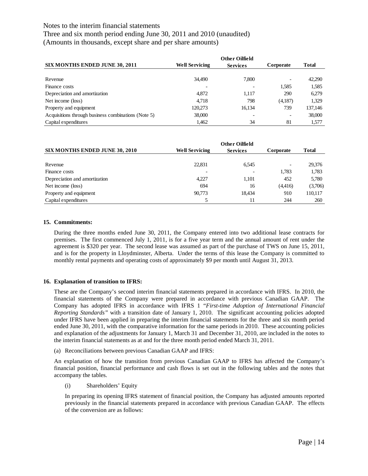Three and six month period ending June 30, 2011 and 2010 (unaudited) (Amounts in thousands, except share and per share amounts)

| <b>SIX MONTHS ENDED JUNE 30, 2011</b>               | <b>Well Servicing</b> | <b>Services</b> | Corporate | <b>Total</b> |
|-----------------------------------------------------|-----------------------|-----------------|-----------|--------------|
|                                                     |                       |                 |           |              |
| Revenue                                             | 34,490                | 7.800           |           | 42.290       |
| Finance costs                                       |                       |                 | 1.585     | 1,585        |
| Depreciation and amortization                       | 4.872                 | 1.117           | 290       | 6,279        |
| Net income (loss)                                   | 4,718                 | 798             | (4,187)   | 1.329        |
| Property and equipment                              | 120.273               | 16.134          | 739       | 137,146      |
| Acquisitions through business combinations (Note 5) | 38,000                |                 |           | 38,000       |
| Capital expenditures                                | 1.462                 | 34              | 81        | 1.577        |

|                                       | <b>Other Oilfield</b> |                 |                          |              |  |  |
|---------------------------------------|-----------------------|-----------------|--------------------------|--------------|--|--|
| <b>SIX MONTHS ENDED JUNE 30, 2010</b> | <b>Well Servicing</b> | <b>Services</b> | Corporate                | <b>Total</b> |  |  |
| Revenue                               | 22,831                | 6.545           | $\overline{\phantom{0}}$ | 29,376       |  |  |
| Finance costs                         |                       |                 | 1.783                    | 1,783        |  |  |
| Depreciation and amortization         | 4.227                 | 1.101           | 452                      | 5,780        |  |  |
| Net income (loss)                     | 694                   | 16              | (4,416)                  | (3,706)      |  |  |
| Property and equipment                | 90.773                | 18.434          | 910                      | 110,117      |  |  |
| Capital expenditures                  |                       |                 | 244                      | 260          |  |  |

## **15. Commitments:**

During the three months ended June 30, 2011, the Company entered into two additional lease contracts for premises. The first commenced July 1, 2011, is for a five year term and the annual amount of rent under the agreement is \$320 per year. The second lease was assumed as part of the purchase of TWS on June 15, 2011, and is for the property in Lloydminster, Alberta. Under the terms of this lease the Company is committed to monthly rental payments and operating costs of approximately \$9 per month until August 31, 2013.

## **16. Explanation of transition to IFRS:**

These are the Company's second interim financial statements prepared in accordance with IFRS. In 2010, the financial statements of the Company were prepared in accordance with previous Canadian GAAP. The Company has adopted IFRS in accordance with IFRS 1 "*First-time Adoption of International Financial Reporting Standards"* with a transition date of January 1, 2010. The significant accounting policies adopted under IFRS have been applied in preparing the interim financial statements for the three and six month period ended June 30, 2011, with the comparative information for the same periods in 2010. These accounting policies and explanation of the adjustments for January 1, March 31 and December 31, 2010, are included in the notes to the interim financial statements as at and for the three month period ended March 31, 2011.

(a) Reconciliations between previous Canadian GAAP and IFRS:

An explanation of how the transition from previous Canadian GAAP to IFRS has affected the Company's financial position, financial performance and cash flows is set out in the following tables and the notes that accompany the tables.

(i) Shareholders' Equity

In preparing its opening IFRS statement of financial position, the Company has adjusted amounts reported previously in the financial statements prepared in accordance with previous Canadian GAAP. The effects of the conversion are as follows: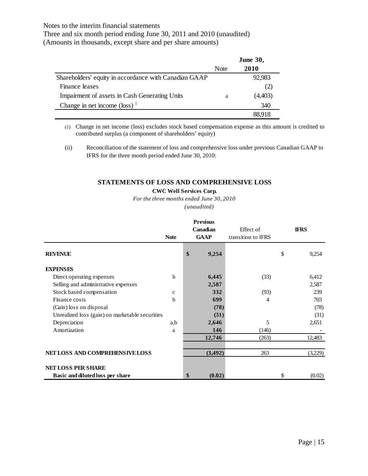Three and six month period ending June 30, 2011 and 2010 (unaudited) (Amounts in thousands, except share and per share amounts)

|                                                       | <b>June 30,</b> |         |
|-------------------------------------------------------|-----------------|---------|
|                                                       | <b>Note</b>     | 2010    |
| Shareholders' equity in accordance with Canadian GAAP |                 | 92,983  |
| Finance leases                                        |                 | (2)     |
| Impairment of assets in Cash Generating Units         | a               | (4,403) |
| Change in net income $(\text{loss})^{-1}$             |                 | 340     |
|                                                       |                 | 88 918  |

(1) Change in net income (loss) excludes stock based compensation expense as this amount is credited to contributed surplus (a component of shareholders' equity)

(ii) Reconciliation of the statement of loss and comprehensive loss under previous Canadian GAAP to IFRS for the three month period ended June 30, 2010:

# **STATEMENTS OF LOSS AND COMPREHENSIVE LOSS**

## **CWC Well Services Corp.**

*For the three months ended June 30, 2010*

*(unaudited)*

|                                                 | <b>Note</b> | <b>Previous</b><br>Canadian<br><b>GAAP</b> | Effect of<br>transition to IFRS | <b>IFRS</b>  |
|-------------------------------------------------|-------------|--------------------------------------------|---------------------------------|--------------|
| <b>REVENUE</b>                                  |             | \$<br>9,254                                |                                 | \$<br>9,254  |
| <b>EXPENSES</b>                                 |             |                                            |                                 |              |
| Direct operating expenses                       | b           | 6,445                                      | (33)                            | 6,412        |
| Selling and administrative expenses             |             | 2,587                                      |                                 | 2,587        |
| Stock based compensation                        | $\mathbf c$ | 332                                        | (93)                            | 239          |
| Finance costs                                   | b           | 699                                        | 4                               | 703          |
| (Gain) loss on disposal                         |             | (78)                                       |                                 | (78)         |
| Unrealized loss (gain) on marketable securities |             | (31)                                       |                                 | (31)         |
| Depreciation                                    | a,b         | 2,646                                      | 5                               | 2,651        |
| Amortization                                    | a           | 146                                        | (146)                           |              |
|                                                 |             | 12,746                                     | (263)                           | 12,483       |
| NET LOSS AND COMPREHENSIVE LOSS                 |             | (3, 492)                                   | 263                             | (3,229)      |
| <b>NET LOSS PER SHARE</b>                       |             |                                            |                                 |              |
| Basic and diluted loss per share                |             | \$<br>(0.02)                               |                                 | \$<br>(0.02) |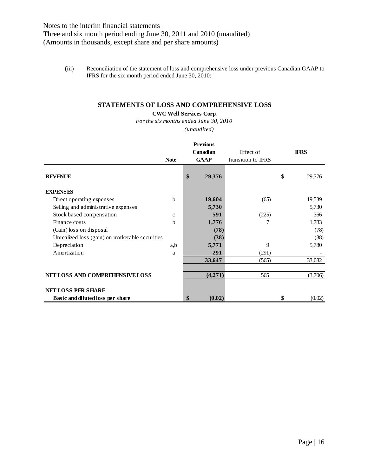(iii) Reconciliation of the statement of loss and comprehensive loss under previous Canadian GAAP to IFRS for the six month period ended June 30, 2010:

## **STATEMENTS OF LOSS AND COMPREHENSIVE LOSS**

## **CWC Well Services Corp.**

*(unaudited) For the six months ended June 30, 2010*

|                                                 | <b>Note</b> | <b>Previous</b><br>Canadian<br><b>GAAP</b> | Effect of<br>transition to IFRS | <b>IFRS</b>  |
|-------------------------------------------------|-------------|--------------------------------------------|---------------------------------|--------------|
| <b>REVENUE</b>                                  |             | \$<br>29,376                               |                                 | \$<br>29,376 |
| <b>EXPENSES</b>                                 |             |                                            |                                 |              |
| Direct operating expenses                       | b           | 19,604                                     | (65)                            | 19,539       |
| Selling and administrative expenses             |             | 5,730                                      |                                 | 5,730        |
| Stock based compensation                        | c           | 591                                        | (225)                           | 366          |
| Finance costs                                   | b           | 1,776                                      | 7                               | 1,783        |
| (Gain) loss on disposal                         |             | (78)                                       |                                 | (78)         |
| Unrealized loss (gain) on marketable securities |             | (38)                                       |                                 | (38)         |
| Depreciation                                    | a,b         | 5,771                                      | 9                               | 5,780        |
| Amortization                                    | a           | 291                                        | (291)                           |              |
|                                                 |             | 33,647                                     | (565)                           | 33,082       |
| NET LOSS AND COMPREHENSIVE LOSS                 |             | (4,271)                                    | 565                             | (3,706)      |
| <b>NET LOSS PER SHARE</b>                       |             |                                            |                                 |              |
| Basic and diluted loss per share                |             | \$<br>(0.02)                               |                                 | \$<br>(0.02) |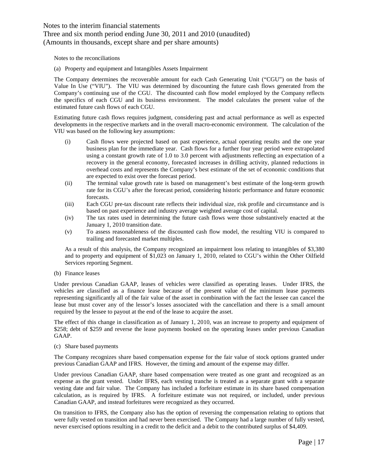# Three and six month period ending June 30, 2011 and 2010 (unaudited) (Amounts in thousands, except share and per share amounts)

Notes to the reconciliations

(a) Property and equipment and Intangibles Assets Impairment

The Company determines the recoverable amount for each Cash Generating Unit ("CGU") on the basis of Value In Use ("VIU"). The VIU was determined by discounting the future cash flows generated from the Company's continuing use of the CGU. The discounted cash flow model employed by the Company reflects the specifics of each CGU and its business environment. The model calculates the present value of the estimated future cash flows of each CGU.

Estimating future cash flows requires judgment, considering past and actual performance as well as expected developments in the respective markets and in the overall macro-economic environment. The calculation of the VIU was based on the following key assumptions:

- (i) Cash flows were projected based on past experience, actual operating results and the one year business plan for the immediate year. Cash flows for a further four year period were extrapolated using a constant growth rate of 1.0 to 3.0 percent with adjustments reflecting an expectation of a recovery in the general economy, forecasted increases in drilling activity, planned reductions in overhead costs and represents the Company's best estimate of the set of economic conditions that are expected to exist over the forecast period.
- (ii) The terminal value growth rate is based on management's best estimate of the long-term growth rate for its CGU's after the forecast period, considering historic performance and future economic forecasts.
- (iii) Each CGU pre-tax discount rate reflects their individual size, risk profile and circumstance and is based on past experience and industry average weighted average cost of capital.
- (iv) The tax rates used in determining the future cash flows were those substantively enacted at the January 1, 2010 transition date.
- (v) To assess reasonableness of the discounted cash flow model, the resulting VIU is compared to trailing and forecasted market multiples.

As a result of this analysis, the Company recognized an impairment loss relating to intangibles of \$3,380 and to property and equipment of \$1,023 on January 1, 2010, related to CGU's within the Other Oilfield Services reporting Segment.

(b) Finance leases

Under previous Canadian GAAP, leases of vehicles were classified as operating leases. Under IFRS, the vehicles are classified as a finance lease because of the present value of the minimum lease payments representing significantly all of the fair value of the asset in combination with the fact the lessee can cancel the lease but must cover any of the lessor's losses associated with the cancellation and there is a small amount required by the lessee to payout at the end of the lease to acquire the asset.

The effect of this change in classification as of January 1, 2010, was an increase to property and equipment of \$258; debt of \$259 and reverse the lease payments booked on the operating leases under previous Canadian GAAP.

(c) Share based payments

The Company recognizes share based compensation expense for the fair value of stock options granted under previous Canadian GAAP and IFRS. However, the timing and amount of the expense may differ.

Under previous Canadian GAAP, share based compensation were treated as one grant and recognized as an expense as the grant vested. Under IFRS, each vesting tranche is treated as a separate grant with a separate vesting date and fair value. The Company has included a forfeiture estimate in its share based compensation calculation, as is required by IFRS. A forfeiture estimate was not required, or included, under previous Canadian GAAP, and instead forfeitures were recognized as they occurred.

On transition to IFRS, the Company also has the option of reversing the compensation relating to options that were fully vested on transition and had never been exercised. The Company had a large number of fully vested, never exercised options resulting in a credit to the deficit and a debit to the contributed surplus of \$4,409.